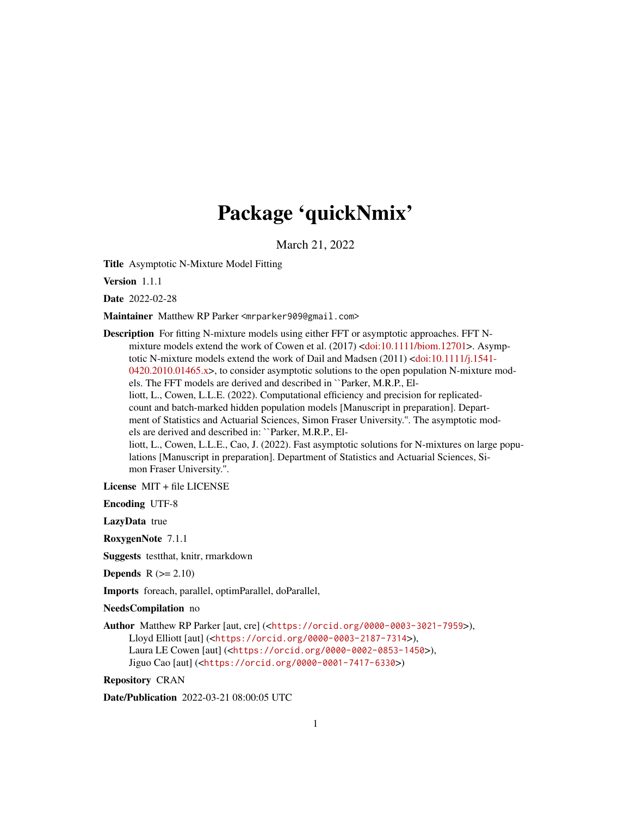## Package 'quickNmix'

March 21, 2022

<span id="page-0-0"></span>Title Asymptotic N-Mixture Model Fitting

Version 1.1.1

Date 2022-02-28

Maintainer Matthew RP Parker <mrparker909@gmail.com>

Description For fitting N-mixture models using either FFT or asymptotic approaches. FFT Nmixture models extend the work of Cowen et al. (2017) [<doi:10.1111/biom.12701>](https://doi.org/10.1111/biom.12701). Asymptotic N-mixture models extend the work of Dail and Madsen (2011) [<doi:10.1111/j.1541-](https://doi.org/10.1111/j.1541-0420.2010.01465.x) [0420.2010.01465.x>](https://doi.org/10.1111/j.1541-0420.2010.01465.x), to consider asymptotic solutions to the open population N-mixture models. The FFT models are derived and described in ``Parker, M.R.P., Elliott, L., Cowen, L.L.E. (2022). Computational efficiency and precision for replicatedcount and batch-marked hidden population models [Manuscript in preparation]. Department of Statistics and Actuarial Sciences, Simon Fraser University.''. The asymptotic models are derived and described in: ``Parker, M.R.P., Elliott, L., Cowen, L.L.E., Cao, J. (2022). Fast asymptotic solutions for N-mixtures on large populations [Manuscript in preparation]. Department of Statistics and Actuarial Sciences, Simon Fraser University.''.

License MIT + file LICENSE

Encoding UTF-8

LazyData true

RoxygenNote 7.1.1

Suggests testthat, knitr, rmarkdown

**Depends**  $R$  ( $>= 2.10$ )

Imports foreach, parallel, optimParallel, doParallel,

NeedsCompilation no

Author Matthew RP Parker [aut, cre] (<<https://orcid.org/0000-0003-3021-7959>>), Lloyd Elliott [aut] (<<https://orcid.org/0000-0003-2187-7314>>), Laura LE Cowen [aut] (<<https://orcid.org/0000-0002-0853-1450>>), Jiguo Cao [aut] (<<https://orcid.org/0000-0001-7417-6330>>)

Repository CRAN

Date/Publication 2022-03-21 08:00:05 UTC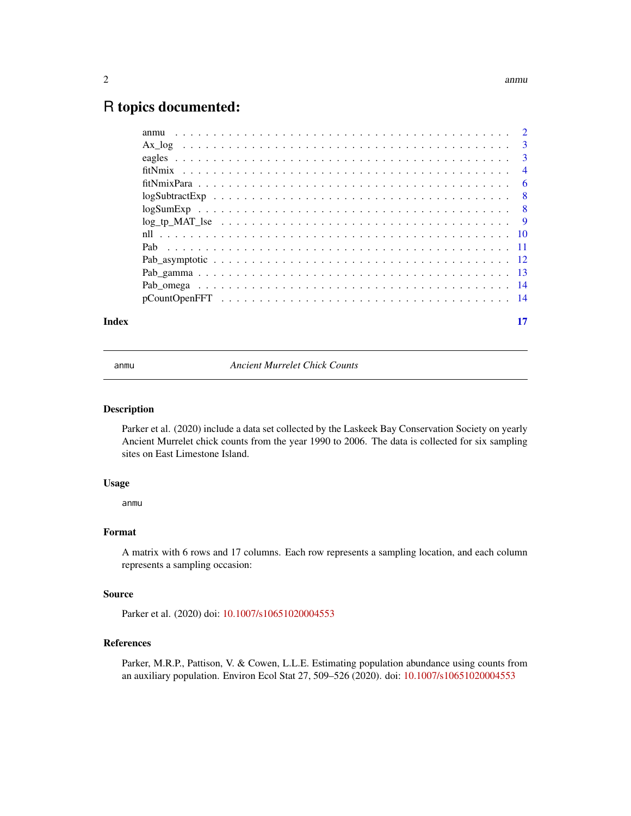### <span id="page-1-0"></span>R topics documented:

| Index | 17 |
|-------|----|

anmu *Ancient Murrelet Chick Counts*

### Description

Parker et al. (2020) include a data set collected by the Laskeek Bay Conservation Society on yearly Ancient Murrelet chick counts from the year 1990 to 2006. The data is collected for six sampling sites on East Limestone Island.

### Usage

anmu

### Format

A matrix with 6 rows and 17 columns. Each row represents a sampling location, and each column represents a sampling occasion:

### Source

Parker et al. (2020) doi: [10.1007/s10651020004553](https://doi.org/10.1007/s10651-020-00455-3)

### References

Parker, M.R.P., Pattison, V. & Cowen, L.L.E. Estimating population abundance using counts from an auxiliary population. Environ Ecol Stat 27, 509–526 (2020). doi: [10.1007/s10651020004553](https://doi.org/10.1007/s10651-020-00455-3)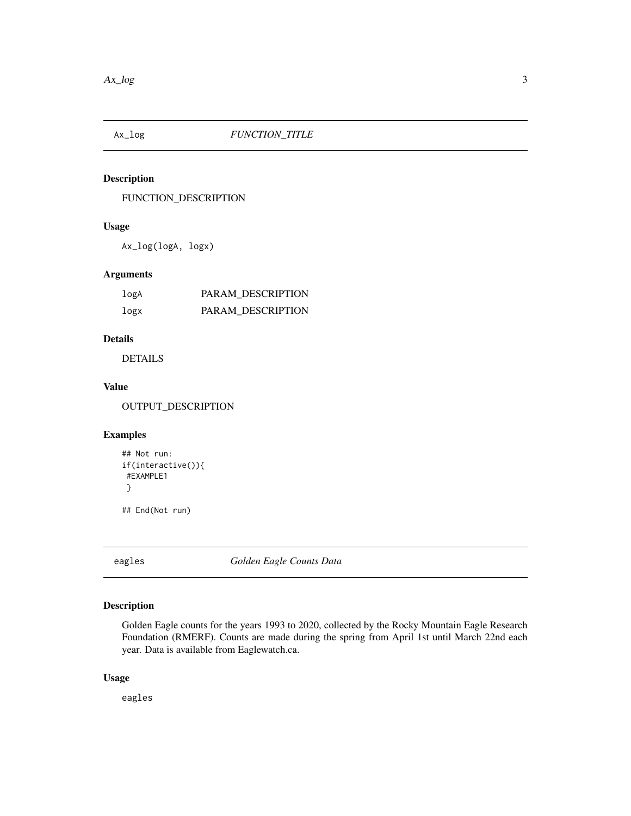<span id="page-2-0"></span>

### Description

FUNCTION\_DESCRIPTION

### Usage

Ax\_log(logA, logx)

### Arguments

| logA | PARAM DESCRIPTION |
|------|-------------------|
| logx | PARAM DESCRIPTION |

### Details

DETAILS

### Value

OUTPUT\_DESCRIPTION

### Examples

```
## Not run:
if(interactive()){
#EXAMPLE1
}
```
## End(Not run)

eagles *Golden Eagle Counts Data*

### Description

Golden Eagle counts for the years 1993 to 2020, collected by the Rocky Mountain Eagle Research Foundation (RMERF). Counts are made during the spring from April 1st until March 22nd each year. Data is available from Eaglewatch.ca.

### Usage

eagles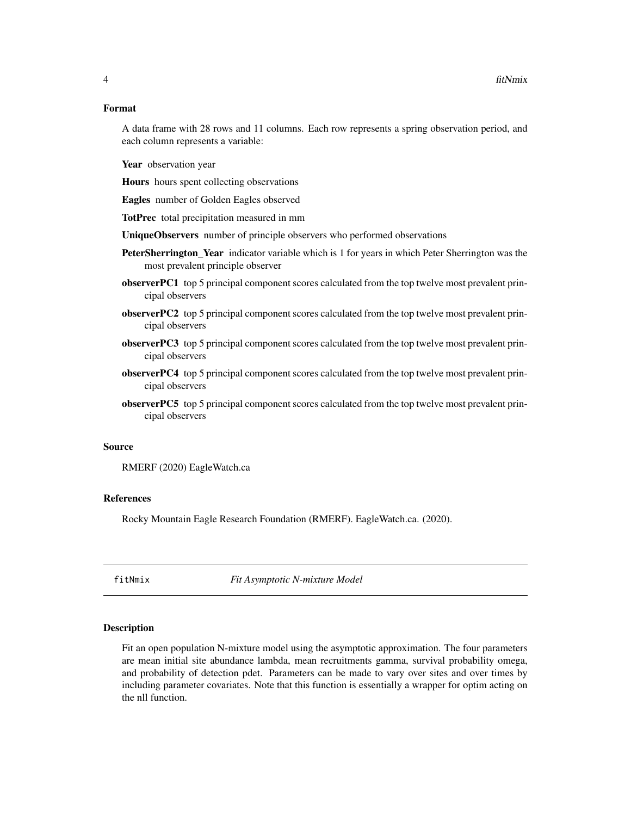### <span id="page-3-0"></span>Format

A data frame with 28 rows and 11 columns. Each row represents a spring observation period, and each column represents a variable:

Year observation year

Hours hours spent collecting observations

Eagles number of Golden Eagles observed

TotPrec total precipitation measured in mm

UniqueObservers number of principle observers who performed observations

- PeterSherrington\_Year indicator variable which is 1 for years in which Peter Sherrington was the most prevalent principle observer
- observerPC1 top 5 principal component scores calculated from the top twelve most prevalent principal observers
- observerPC2 top 5 principal component scores calculated from the top twelve most prevalent principal observers
- observerPC3 top 5 principal component scores calculated from the top twelve most prevalent principal observers
- observerPC4 top 5 principal component scores calculated from the top twelve most prevalent principal observers
- observerPC5 top 5 principal component scores calculated from the top twelve most prevalent principal observers

### Source

RMERF (2020) EagleWatch.ca

### References

Rocky Mountain Eagle Research Foundation (RMERF). EagleWatch.ca. (2020).

fitNmix *Fit Asymptotic N-mixture Model*

### Description

Fit an open population N-mixture model using the asymptotic approximation. The four parameters are mean initial site abundance lambda, mean recruitments gamma, survival probability omega, and probability of detection pdet. Parameters can be made to vary over sites and over times by including parameter covariates. Note that this function is essentially a wrapper for optim acting on the nll function.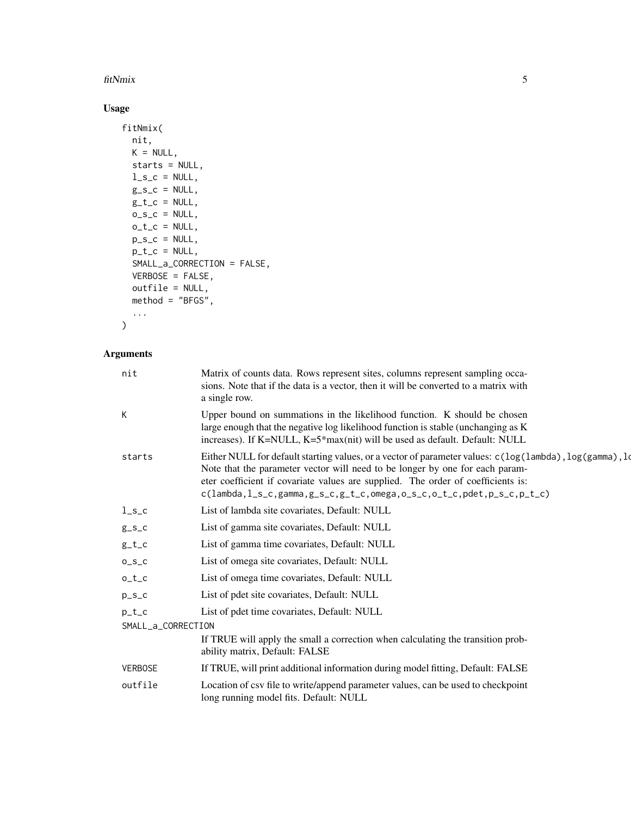### fitNmix 5

### Usage

```
fitNmix(
  nit,
  K = NULL,starts = NULL,
  l_s_c = NULL,g_{-}s_{-}c = NULL,g_t_c = NULL,o_S_c = NULL,o_t_c = NULL,p_{S_C} = NULL,p_t_c = NULL,SMALL_a_CORRECTION = FALSE,
  VERBOSE = FALSE,
  outfile = NULL,
  method = "BFGS",
  ...
\mathcal{L}
```
### Arguments

| nit                | Matrix of counts data. Rows represent sites, columns represent sampling occa-<br>sions. Note that if the data is a vector, then it will be converted to a matrix with<br>a single row.                                                                                                                                                                                     |
|--------------------|----------------------------------------------------------------------------------------------------------------------------------------------------------------------------------------------------------------------------------------------------------------------------------------------------------------------------------------------------------------------------|
| K                  | Upper bound on summations in the likelihood function. K should be chosen<br>large enough that the negative log likelihood function is stable (unchanging as K<br>increases). If K=NULL, K=5*max(nit) will be used as default. Default: NULL                                                                                                                                |
| starts             | Either NULL for default starting values, or a vector of parameter values: c(log(lambda), log(gamma), log(gamma),<br>Note that the parameter vector will need to be longer by one for each param-<br>eter coefficient if covariate values are supplied. The order of coefficients is:<br>$c(lambda, l_s_c, gamma, g_s_c, g_t_c, m_{max, o_s_c, o_t_c, o_t_c, p_t_c, p_t_c)$ |
| $l_s_c$            | List of lambda site covariates, Default: NULL                                                                                                                                                                                                                                                                                                                              |
| $g_{S_C}$          | List of gamma site covariates, Default: NULL                                                                                                                                                                                                                                                                                                                               |
| $g_t_c$            | List of gamma time covariates, Default: NULL                                                                                                                                                                                                                                                                                                                               |
| $0_S_C$            | List of omega site covariates, Default: NULL                                                                                                                                                                                                                                                                                                                               |
| $o_t_c$            | List of omega time covariates, Default: NULL                                                                                                                                                                                                                                                                                                                               |
| $p_{S_C}$          | List of pdet site covariates, Default: NULL                                                                                                                                                                                                                                                                                                                                |
| $p_t_c$            | List of pdet time covariates, Default: NULL                                                                                                                                                                                                                                                                                                                                |
| SMALL_a_CORRECTION |                                                                                                                                                                                                                                                                                                                                                                            |
|                    | If TRUE will apply the small a correction when calculating the transition prob-<br>ability matrix, Default: FALSE                                                                                                                                                                                                                                                          |
| <b>VERBOSE</b>     | If TRUE, will print additional information during model fitting, Default: FALSE                                                                                                                                                                                                                                                                                            |
| outfile            | Location of csv file to write/append parameter values, can be used to checkpoint<br>long running model fits. Default: NULL                                                                                                                                                                                                                                                 |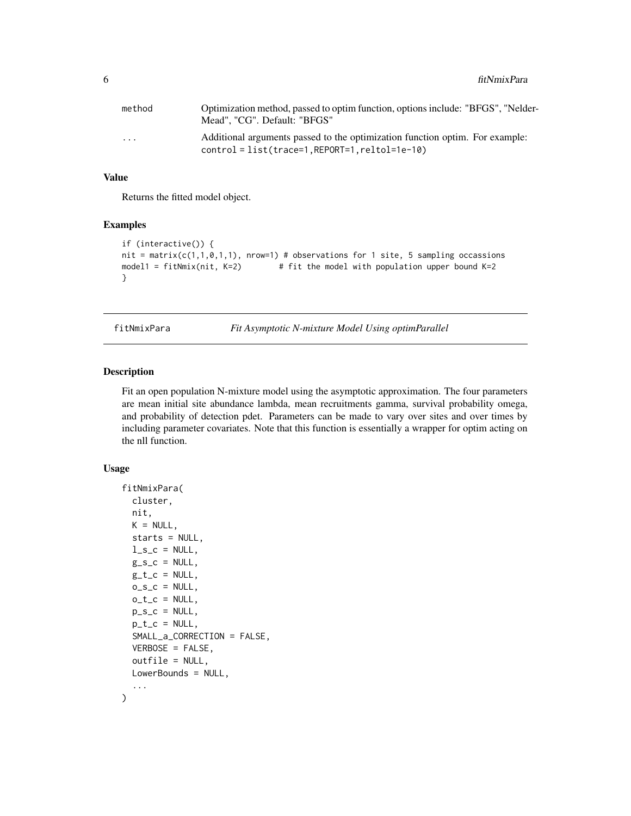<span id="page-5-0"></span>

| method                  | Optimization method, passed to optim function, options include: "BFGS", "Nelder-<br>Mead", "CG". Default: "BFGS"                  |
|-------------------------|-----------------------------------------------------------------------------------------------------------------------------------|
| $\cdot$ $\cdot$ $\cdot$ | Additional arguments passed to the optimization function optim. For example:<br>$control = list(trace=1, REPORT=1, reltol=1e-10)$ |

### Value

Returns the fitted model object.

### Examples

```
if (interactive()) {
nit = matrix(c(1,1,0,1,1), nrow=1) # observations for 1 site, 5 sampling occassions
model1 = fitNmix(nit, K=2) # fit the model with population upper bound K=2}
```
fitNmixPara *Fit Asymptotic N-mixture Model Using optimParallel*

### Description

Fit an open population N-mixture model using the asymptotic approximation. The four parameters are mean initial site abundance lambda, mean recruitments gamma, survival probability omega, and probability of detection pdet. Parameters can be made to vary over sites and over times by including parameter covariates. Note that this function is essentially a wrapper for optim acting on the nll function.

### Usage

```
fitNmixPara(
  cluster,
  nit,
  K = NULL,starts = NULL,
  l<sub>-S</sub><sub>-C</sub> = NULL,
  g_s_c = NULL,g_t_c = NULL,o_S_c = NULL,o_t_c = NULL,p_{S_C} = NULL,p_t_c = NULL,SMALL_a_CORRECTION = FALSE,
  VERBOSE = FALSE,
  outfile = NULL,
 LowerBounds = NULL,
  ...
)
```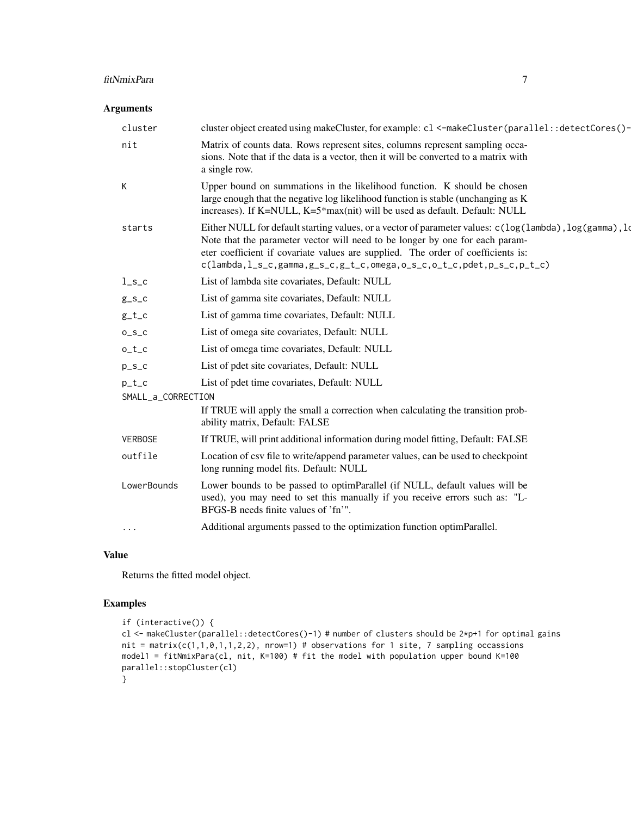### fitNmixPara 7

### Arguments

| cluster                       | cluster object created using makeCluster, for example: c1 <- makeCluster (parallel: : detectCores () -                                                                                                                                                                                                                                                                                                                                                                                                                                                                                              |
|-------------------------------|-----------------------------------------------------------------------------------------------------------------------------------------------------------------------------------------------------------------------------------------------------------------------------------------------------------------------------------------------------------------------------------------------------------------------------------------------------------------------------------------------------------------------------------------------------------------------------------------------------|
| nit                           | Matrix of counts data. Rows represent sites, columns represent sampling occa-<br>sions. Note that if the data is a vector, then it will be converted to a matrix with<br>a single row.                                                                                                                                                                                                                                                                                                                                                                                                              |
| K                             | Upper bound on summations in the likelihood function. K should be chosen<br>large enough that the negative log likelihood function is stable (unchanging as K)<br>increases). If K=NULL, K=5*max(nit) will be used as default. Default: NULL                                                                                                                                                                                                                                                                                                                                                        |
| starts                        | Either NULL for default starting values, or a vector of parameter values: $c(\log(\text{lambda}), \log(\text{gamma}), \log(\text{gamma}))$<br>Note that the parameter vector will need to be longer by one for each param-<br>eter coefficient if covariate values are supplied. The order of coefficients is:<br>$c(lambda, l_s_c, gamma, g_s_c, g_t_c, m_{max, 0.5, c, 0.5, c, 0.5, c, 0.5, c, 0.5, c, 0.5, c, 0.5, c, 0.5, c, 0.5, c, 0.5, c, 0.5, c, 0.5, c, 0.5, c, 0.5, c, 0.5, c, 0.5, c, 0.5, c, 0.5, c, 0.5, c, 0.5, c, 0.5, c, 0.5, c, 0.5, c, 0.5, c, 0.5, c, 0.5, c, 0.5, c, 0.5, c, 0$ |
| $l_s_c$                       | List of lambda site covariates, Default: NULL                                                                                                                                                                                                                                                                                                                                                                                                                                                                                                                                                       |
| $g_s_c$                       | List of gamma site covariates, Default: NULL                                                                                                                                                                                                                                                                                                                                                                                                                                                                                                                                                        |
| $g_t_c$                       | List of gamma time covariates, Default: NULL                                                                                                                                                                                                                                                                                                                                                                                                                                                                                                                                                        |
| $0_S_C$                       | List of omega site covariates, Default: NULL                                                                                                                                                                                                                                                                                                                                                                                                                                                                                                                                                        |
| $o_t_c$                       | List of omega time covariates, Default: NULL                                                                                                                                                                                                                                                                                                                                                                                                                                                                                                                                                        |
| $p_S_c$                       | List of pdet site covariates, Default: NULL                                                                                                                                                                                                                                                                                                                                                                                                                                                                                                                                                         |
| $p_t_c$<br>SMALL_a_CORRECTION | List of pdet time covariates, Default: NULL                                                                                                                                                                                                                                                                                                                                                                                                                                                                                                                                                         |
|                               | If TRUE will apply the small a correction when calculating the transition prob-<br>ability matrix, Default: FALSE                                                                                                                                                                                                                                                                                                                                                                                                                                                                                   |
| <b>VERBOSE</b>                | If TRUE, will print additional information during model fitting, Default: FALSE                                                                                                                                                                                                                                                                                                                                                                                                                                                                                                                     |
| outfile                       | Location of csv file to write/append parameter values, can be used to checkpoint<br>long running model fits. Default: NULL                                                                                                                                                                                                                                                                                                                                                                                                                                                                          |
| LowerBounds                   | Lower bounds to be passed to optimParallel (if NULL, default values will be<br>used), you may need to set this manually if you receive errors such as: "L-<br>BFGS-B needs finite values of 'fn'".                                                                                                                                                                                                                                                                                                                                                                                                  |
| $\cdots$                      | Additional arguments passed to the optimization function optimParallel.                                                                                                                                                                                                                                                                                                                                                                                                                                                                                                                             |
|                               |                                                                                                                                                                                                                                                                                                                                                                                                                                                                                                                                                                                                     |

### Value

Returns the fitted model object.

### Examples

```
if (interactive()) {
cl <- makeCluster(parallel::detectCores()-1) # number of clusters should be 2*p+1 for optimal gains
nit = matrix(c(1,1,0,1,1,2,2), nrow=1) # observations for 1 site, 7 sampling occassions
model1 = fitNmixPara(cl, nit, K=100) # fit the model with population upper bound K=100
parallel::stopCluster(cl)
}
```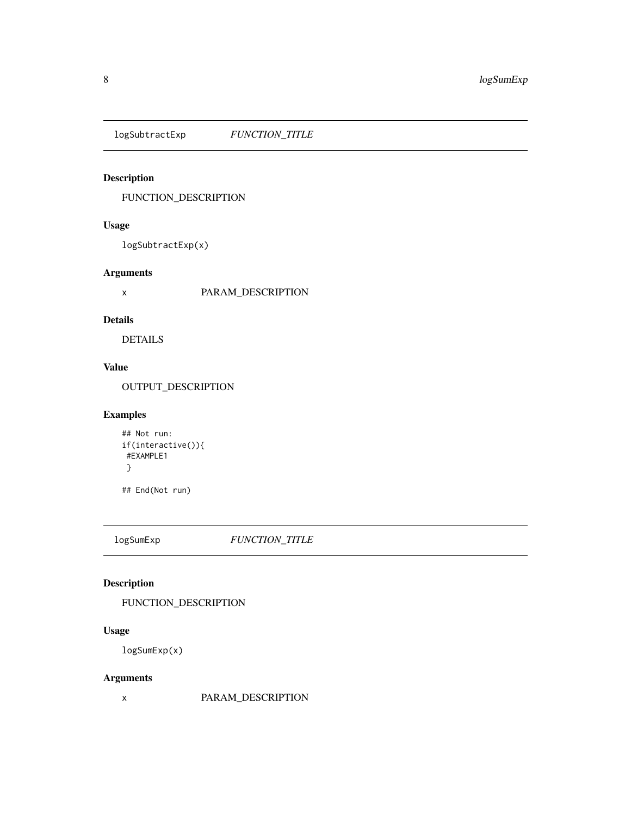<span id="page-7-0"></span>logSubtractExp *FUNCTION\_TITLE*

### Description

FUNCTION\_DESCRIPTION

### Usage

logSubtractExp(x)

### Arguments

x PARAM\_DESCRIPTION

### Details

DETAILS

### Value

OUTPUT\_DESCRIPTION

### Examples

```
## Not run:
if(interactive()){
#EXAMPLE1
 }
```
## End(Not run)

logSumExp *FUNCTION\_TITLE*

### Description

FUNCTION\_DESCRIPTION

### Usage

logSumExp(x)

### Arguments

x PARAM\_DESCRIPTION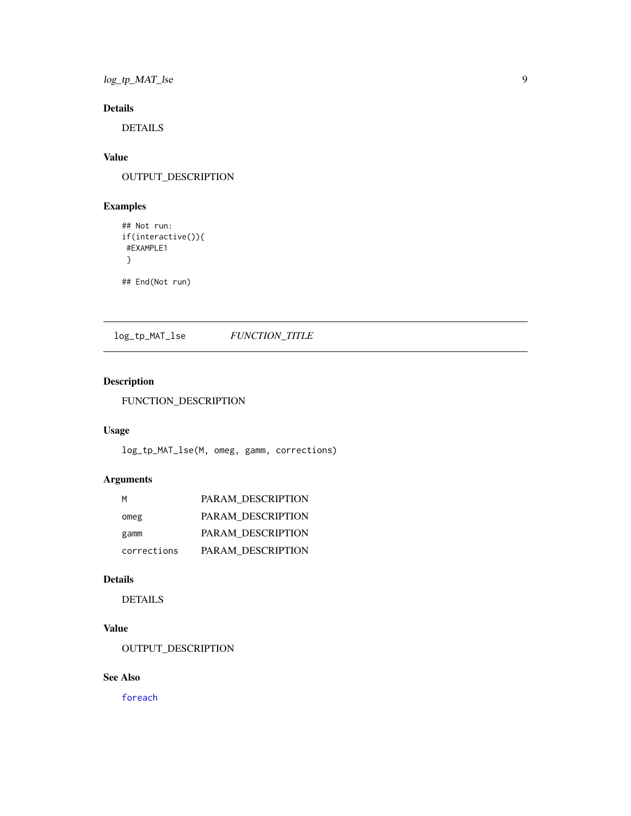<span id="page-8-0"></span>log\_tp\_MAT\_lse 9

### Details

DETAILS

### Value

OUTPUT\_DESCRIPTION

### Examples

```
## Not run:
if(interactive()){
#EXAMPLE1
 }
```
## End(Not run)

log\_tp\_MAT\_lse *FUNCTION\_TITLE*

### Description

FUNCTION\_DESCRIPTION

### Usage

log\_tp\_MAT\_lse(M, omeg, gamm, corrections)

### Arguments

| м           | <b>PARAM DESCRIPTION</b> |
|-------------|--------------------------|
| omeg        | <b>PARAM DESCRIPTION</b> |
| gamm        | PARAM DESCRIPTION        |
| corrections | PARAM DESCRIPTION        |

### Details

DETAILS

### Value

OUTPUT\_DESCRIPTION

### See Also

[foreach](#page-0-0)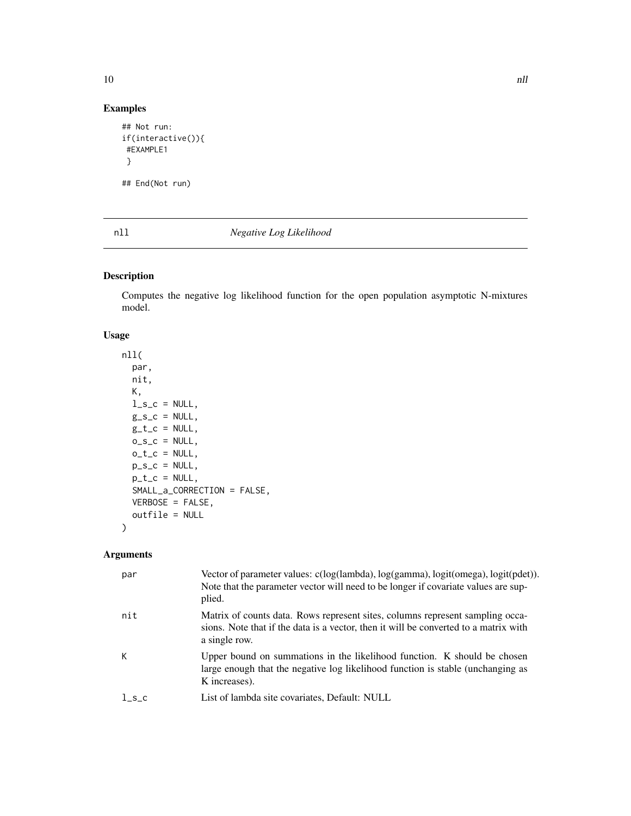### Examples

```
## Not run:
if(interactive()){
#EXAMPLE1
 }
## End(Not run)
```
### nll *Negative Log Likelihood*

### Description

Computes the negative log likelihood function for the open population asymptotic N-mixtures model.

### Usage

```
nll(
  par,
  nit,
  K,
  l<sub>_S_C</sub> = NULL,
  g_{S_C} = NULL,g_t_c = NULL,o_S_c = NULL,o_t_c = NULL,p\_s\_c = NULL,p_t_c = NULL,SMALL_a_CORRECTION = FALSE,
  VERBOSE = FALSE,
  outfile = NULL
\overline{\phantom{0}}
```
### Arguments

| par   | Vector of parameter values: c(log(lambda), log(gamma), logit(omega), logit(pdet)).<br>Note that the parameter vector will need to be longer if covariate values are sup-<br>plied.     |
|-------|----------------------------------------------------------------------------------------------------------------------------------------------------------------------------------------|
| nit   | Matrix of counts data. Rows represent sites, columns represent sampling occa-<br>sions. Note that if the data is a vector, then it will be converted to a matrix with<br>a single row. |
| К     | Upper bound on summations in the likelihood function. K should be chosen<br>large enough that the negative log likelihood function is stable (unchanging as<br>K increases).           |
| $l_s$ | List of lambda site covariates, Default: NULL                                                                                                                                          |

<span id="page-9-0"></span> $10$  nll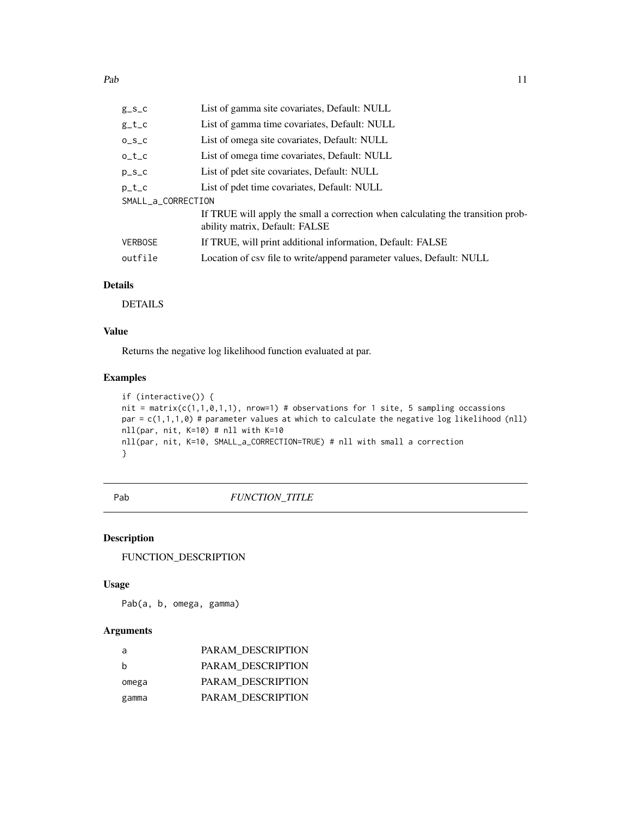<span id="page-10-0"></span>

| $g_S_c$            | List of gamma site covariates, Default: NULL                                                                      |
|--------------------|-------------------------------------------------------------------------------------------------------------------|
| $g_t_c$            | List of gamma time covariates, Default: NULL                                                                      |
| $0_S_C$            | List of omega site covariates, Default: NULL                                                                      |
| $0_t$              | List of omega time covariates, Default: NULL                                                                      |
| $p_S_c$            | List of pdet site covariates, Default: NULL                                                                       |
| $p_t c$            | List of pdet time covariates, Default: NULL                                                                       |
| SMALL_a_CORRECTION |                                                                                                                   |
|                    | If TRUE will apply the small a correction when calculating the transition prob-<br>ability matrix, Default: FALSE |
| <b>VERBOSE</b>     | If TRUE, will print additional information, Default: FALSE                                                        |
| outfile            | Location of csv file to write/append parameter values, Default: NULL                                              |
|                    |                                                                                                                   |

### Details

DETAILS

### Value

Returns the negative log likelihood function evaluated at par.

### Examples

```
if (interactive()) {
nit = matrix(c(1,1,0,1,1), nrow=1) # observations for 1 site, 5 sampling occassions
par = c(1,1,1,0) # parameter values at which to calculate the negative log likelihood (nll)
nll(par, nit, K=10) # nll with K=10
nll(par, nit, K=10, SMALL_a_CORRECTION=TRUE) # nll with small a correction
}
```
### Pab  $FUNCTION\_TITLE$

### Description

FUNCTION\_DESCRIPTION

### Usage

Pab(a, b, omega, gamma)

### Arguments

| a            | PARAM DESCRIPTION |
|--------------|-------------------|
| <sub>b</sub> | PARAM DESCRIPTION |
| omega        | PARAM DESCRIPTION |
| gamma        | PARAM DESCRIPTION |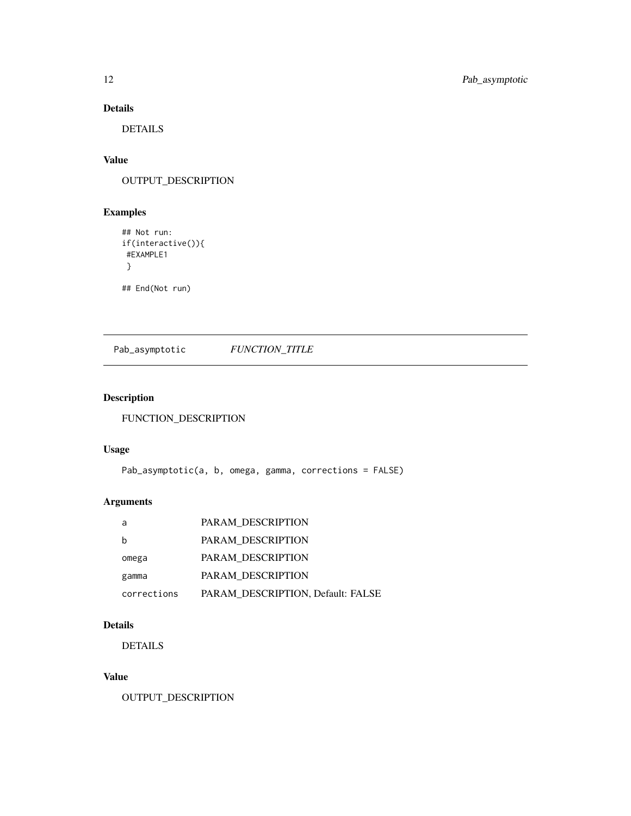### Details

DETAILS

### Value

OUTPUT\_DESCRIPTION

### Examples

```
## Not run:
if(interactive()){
 #EXAMPLE1
 }
```
## End(Not run)

Pab\_asymptotic *FUNCTION\_TITLE*

### Description

FUNCTION\_DESCRIPTION

### Usage

Pab\_asymptotic(a, b, omega, gamma, corrections = FALSE)

### Arguments

| a           | PARAM DESCRIPTION                 |
|-------------|-----------------------------------|
|             | PARAM DESCRIPTION                 |
| omega       | PARAM DESCRIPTION                 |
| gamma       | PARAM DESCRIPTION                 |
| corrections | PARAM DESCRIPTION, Default: FALSE |

### Details

DETAILS

### Value

OUTPUT\_DESCRIPTION

<span id="page-11-0"></span>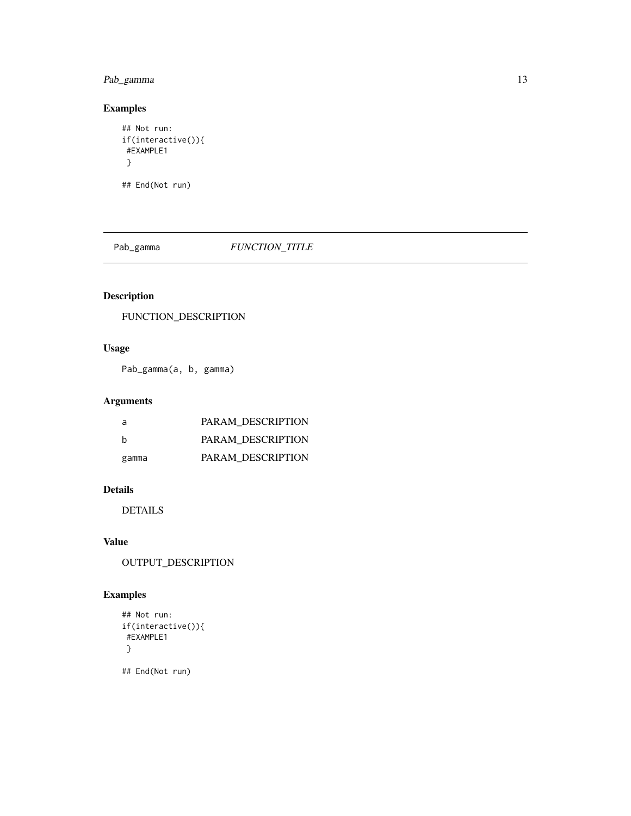### <span id="page-12-0"></span>Pab\_gamma 13

### Examples

```
## Not run:
if(interactive()){
#EXAMPLE1
 }
```
## End(Not run)

### Pab\_gamma  $FUNCTION\_TITLE$

### Description

FUNCTION\_DESCRIPTION

### Usage

Pab\_gamma(a, b, gamma)

### Arguments

| a     | PARAM DESCRIPTION |
|-------|-------------------|
| h     | PARAM DESCRIPTION |
| gamma | PARAM DESCRIPTION |

### Details

DETAILS

### Value

OUTPUT\_DESCRIPTION

### Examples

```
## Not run:
if(interactive()){
#EXAMPLE1
}
## End(Not run)
```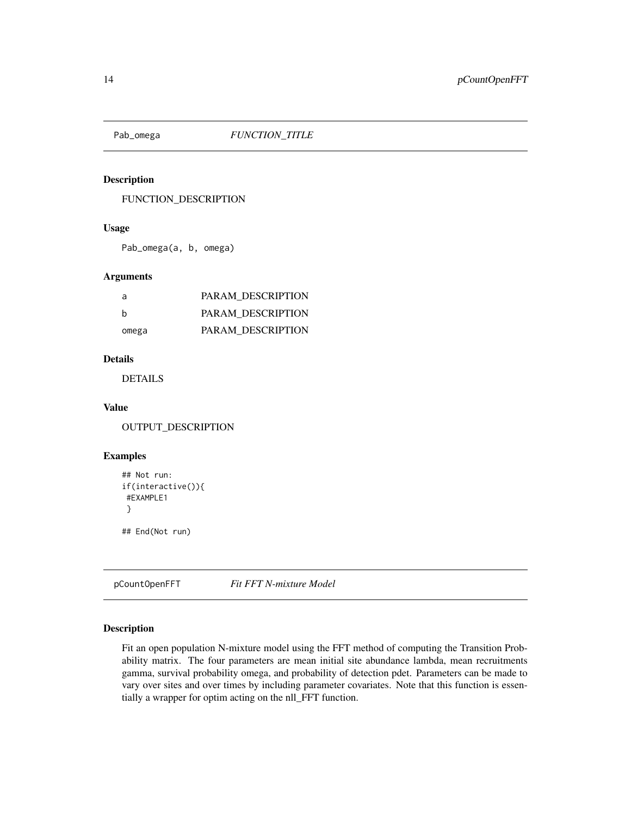<span id="page-13-0"></span>

### Description

FUNCTION\_DESCRIPTION

### Usage

Pab\_omega(a, b, omega)

### Arguments

| a     | PARAM DESCRIPTION |
|-------|-------------------|
| h     | PARAM DESCRIPTION |
| omega | PARAM DESCRIPTION |

### Details

DETAILS

### Value

OUTPUT\_DESCRIPTION

### Examples

```
## Not run:
if(interactive()){
#EXAMPLE1
}
## End(Not run)
```
pCountOpenFFT *Fit FFT N-mixture Model*

### Description

Fit an open population N-mixture model using the FFT method of computing the Transition Probability matrix. The four parameters are mean initial site abundance lambda, mean recruitments gamma, survival probability omega, and probability of detection pdet. Parameters can be made to vary over sites and over times by including parameter covariates. Note that this function is essentially a wrapper for optim acting on the nll\_FFT function.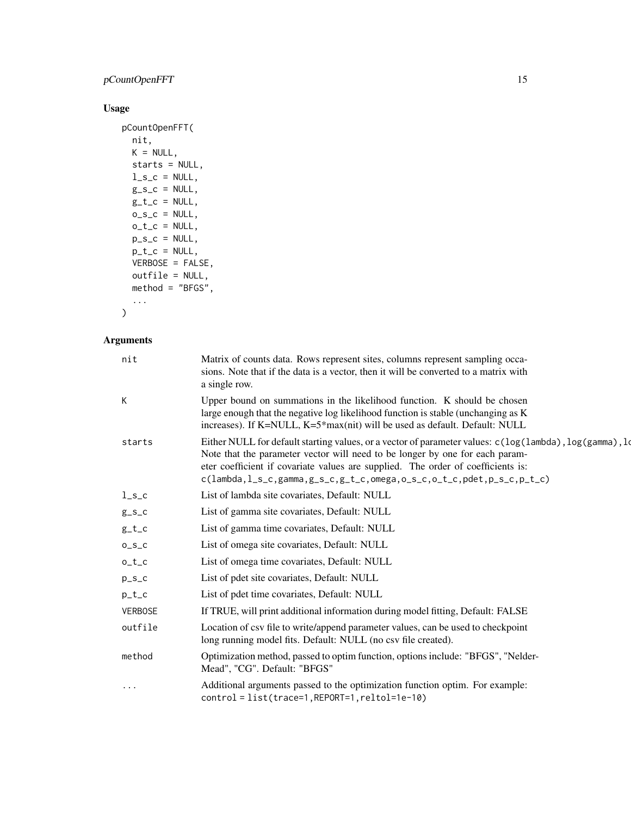### pCountOpenFFT 15

### Usage

```
pCountOpenFFT(
  nit,
  K = NULL,starts = NULL,
  l_s_c = NULL,g_{-}s_{-}c = NULL,g_t_c = NUL,
  o_S_c = NULL,o_t_c = NULL,p_s_c = NULL,p_t_c = NULL,VERBOSE = FALSE,
  outfile = NULL,
 method = "BFGS",...
\mathcal{L}
```
### Arguments

| nit            | Matrix of counts data. Rows represent sites, columns represent sampling occa-<br>sions. Note that if the data is a vector, then it will be converted to a matrix with<br>a single row.                                                                                                                                                                                                                                  |
|----------------|-------------------------------------------------------------------------------------------------------------------------------------------------------------------------------------------------------------------------------------------------------------------------------------------------------------------------------------------------------------------------------------------------------------------------|
| K              | Upper bound on summations in the likelihood function. K should be chosen<br>large enough that the negative log likelihood function is stable (unchanging as K)<br>increases). If K=NULL, K=5*max(nit) will be used as default. Default: NULL                                                                                                                                                                            |
| starts         | Either NULL for default starting values, or a vector of parameter values: $c(\log(\text{lambda})$ , $\log(\text{gamma})$ , $\log(\text{gamma})$<br>Note that the parameter vector will need to be longer by one for each param-<br>eter coefficient if covariate values are supplied. The order of coefficients is:<br>$c(lambda, l_s_c, gamma, g_s_c, g_t_c, c, \text{ones}, o_s_c, o_t_c, \text{plot}, p_s_c, p_t_c)$ |
| $l_s_c$        | List of lambda site covariates, Default: NULL                                                                                                                                                                                                                                                                                                                                                                           |
| $g_s_c$        | List of gamma site covariates, Default: NULL                                                                                                                                                                                                                                                                                                                                                                            |
| $g_t_c$        | List of gamma time covariates, Default: NULL                                                                                                                                                                                                                                                                                                                                                                            |
| $0_S_C$        | List of omega site covariates, Default: NULL                                                                                                                                                                                                                                                                                                                                                                            |
| $o_t_c$        | List of omega time covariates, Default: NULL                                                                                                                                                                                                                                                                                                                                                                            |
| $p_S_c$        | List of pdet site covariates, Default: NULL                                                                                                                                                                                                                                                                                                                                                                             |
| $p_t_c$        | List of pdet time covariates, Default: NULL                                                                                                                                                                                                                                                                                                                                                                             |
| <b>VERBOSE</b> | If TRUE, will print additional information during model fitting, Default: FALSE                                                                                                                                                                                                                                                                                                                                         |
| outfile        | Location of csv file to write/append parameter values, can be used to checkpoint<br>long running model fits. Default: NULL (no csv file created).                                                                                                                                                                                                                                                                       |
| method         | Optimization method, passed to optim function, options include: "BFGS", "Nelder-<br>Mead", "CG". Default: "BFGS"                                                                                                                                                                                                                                                                                                        |
| $\cdots$       | Additional arguments passed to the optimization function optim. For example:<br>control = list(trace=1, REPORT=1, reltol=1e-10)                                                                                                                                                                                                                                                                                         |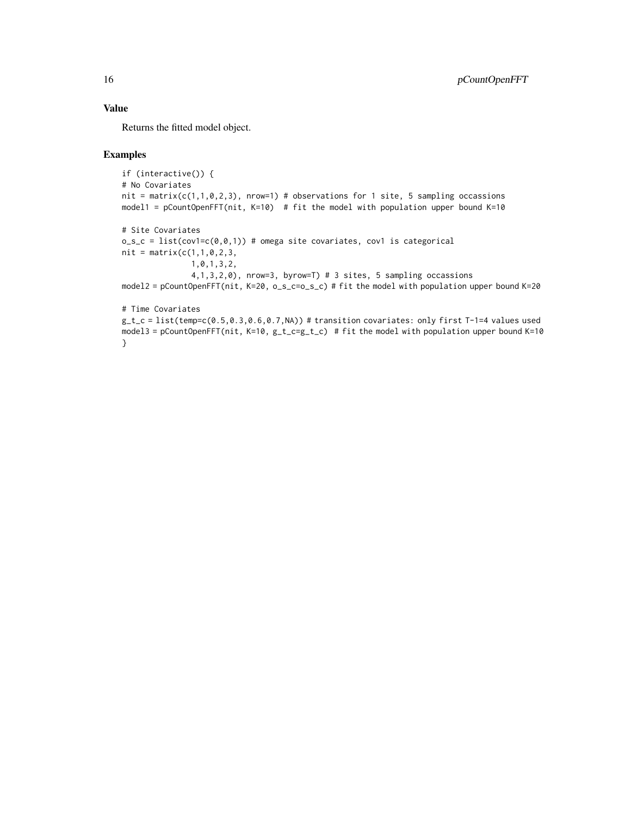### Value

Returns the fitted model object.

### Examples

}

```
if (interactive()) {
# No Covariates
nit = matrix(c(1,1,0,2,3), nrow=1) # observations for 1 site, 5 sampling occassions
model1 = pCountOpenFFT(nit, K=10) # fit the model with population upper bound K=10
# Site Covariates
o_s_c = list(cov1=c(0,0,1)) # omega site covariates, cov1 is categorical
nit = matrix(c(1, 1, 0, 2, 3,1,0,1,3,2,
               4,1,3,2,0), nrow=3, byrow=T) # 3 sites, 5 sampling occassions
model2 = pCountOpenFFT(nit, K=20, o_s_c=o_s_c) # fit the model with population upper bound K=20
# Time Covariates
g_t_c = 1ist(temp=c(0.5,0.3,0.6,0.7,NA)) # transition covariates: only first T-1=4 values used
model3 = pCountOpenFFT(nit, K=10, g_t_c = g_t) # fit the model with population upper bound K=10
```